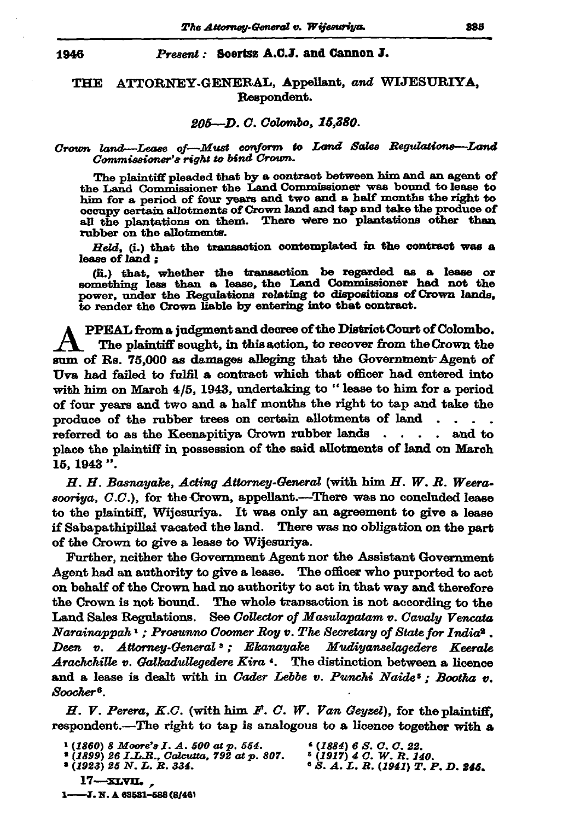### Present: Soertsz A.C.J. and Cannon J.

### ATTORNEY-GENERAL, Appellant, and WIJESURIYA, **THE** Respondent.

### 205-D.C. Colombo, 15,380.

# Crown land—Lease of—Must conform to Land Sales Regulations—Land<br>Commissioner's right to bind Crown.

The plaintiff pleaded that by a contract between him and an agent of the Land Commissioner the Land Commissioner was bound to lease to him for a period of four years and two and a half months the right to occupy certain allotments of Crown land and tap and take the produce of all the plantations on them. There were no plantations other than rubber on the allotments.

Held, (i.) that the transaction contemplated in the contract was a lease of land;

(ii.) that, whether the transaction be regarded as a lease or something less than a lease, the Land Commissioner had not the power, under the Regulations relating to dispositions of Crown lands, to render the Crown liable by entering into that contract.

PPEAL from a judgment and decree of the District Court of Colombo. The plaintiff sought, in this action, to recover from the Crown the sum of Rs. 75,000 as damages alleging that the Government Agent of Uva had failed to fulfil a contract which that officer had entered into with him on March  $4/5$ , 1943, undertaking to "lease to him for a period of four years and two and a half months the right to tap and take the produce of the rubber trees on certain allotments of land. referred to as the Keenapitiya Crown rubber lands. and to place the plaintiff in possession of the said allotments of land on March 15, 1943 ".

 $H. H.$  Basnayake, Acting Attorney-General (with him  $H. W. R.$  Weerasooriya, C.C.), for the Crown, appellant.---There was no concluded lease to the plaintiff, Wijesuriya. It was only an agreement to give a lease if Sabapathipillai vacated the land. There was no obligation on the part of the Crown to give a lease to Wijesuriya.

Further, neither the Government Agent nor the Assistant Government Agent had an authority to give a lease. The officer who purported to act on behalf of the Crown had no authority to act in that way and therefore the Crown is not bound. The whole transaction is not according to the Land Sales Regulations. See Collector of Masulapatam v. Cavaly Vencata Narainappah<sup>1</sup>; Prosunno Coomer Roy v. The Secretary of State for India<sup>2</sup>. Deen v. Attorney-General »; Ekanayake Mudiyanselagedere Keerale Arachchille v. Galkadullegedere Kira 4. The distinction between a licence and a lease is dealt with in Cader Lebbe v. Punchi Naide'; Bootha v. Soocher<sup>8</sup>.

H. V. Perera, K.C. (with him F. C. W. Van Geyzel), for the plaintiff. respondent.—The right to tap is analogous to a licence together with a

- \* (1899) 26 J.L.R., Calcutta, 792 at p. 807.
- $(1923)$  25 N.L.R. 334.
- $(1884)$  6 S.O.C.22.
- 
- <sup>5</sup> (1917) 4 C. W. R. 140.<br>• S. A. L. R. (1941) T. P. D. **245.**

 $17 - x$ LVIL. 1-3. N. A 63531-588 (8/46)

 $(1860)$  8 Moore's I.A. 500 at p. 554.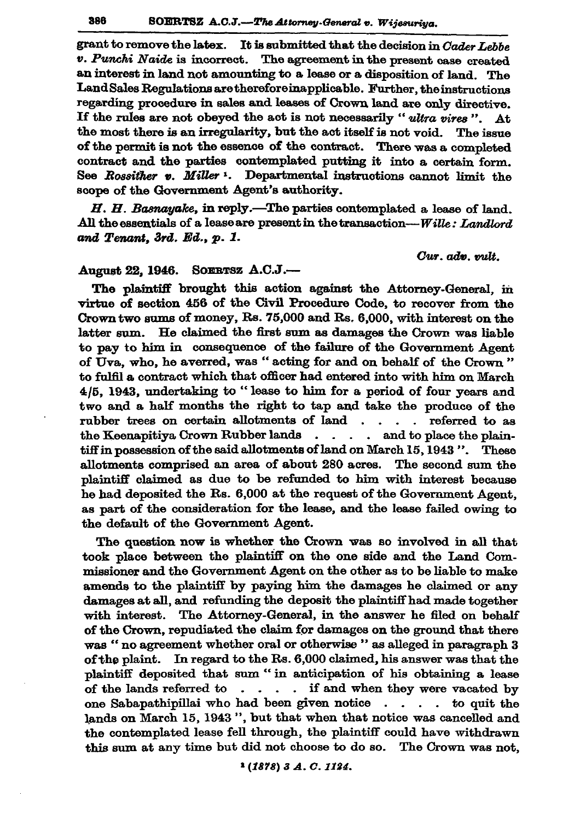grant to remove the latex. It is submitted that the decision in Cader Lebbe v. Punchi Naide is incorrect. The agreement in the present case created an interest in land not amounting to a lease or a disposition of land. The Land Sales Regulations are therefore inapplicable. Further, the instructions regarding procedure in sales and leases of Crown land are only directive. If the rules are not obeyed the act is not necessarily "ultra vires". At the most there is an irregularity, but the act itself is not void. The issue of the permit is not the essence of the contract. There was a completed contract and the parties contemplated putting it into a certain form. See Rossither v. Miller<sup>1</sup>. Departmental instructions cannot limit the scope of the Government Agent's authority.

H. H. Basnayake, in reply.-The parties contemplated a lease of land. All the essentials of a lease are present in the transaction-Wille: Landlord and Tenant, 3rd. Ed., p. 1.

## Cur. adv. vult.

#### SOERTSZ A.C.J.-**August 22, 1946.**

The plaintiff brought this action against the Attorney-General, in virtue of section 456 of the Civil Procedure Code, to recover from the Crown two sums of money, Rs. 75,000 and Rs. 6,000, with interest on the latter sum. He claimed the first sum as damages the Crown was liable to pay to him in consequence of the failure of the Government Agent of Uva. who, he averred, was "acting for and on behalf of the Crown" to fulfil a contract which that officer had entered into with him on March 4/5. 1943, undertaking to "lease to him for a period of four years and two and a half months the right to tap and take the produce of the rubber trees on certain allotments of land . . . . referred to as the Keenapitiya Crown Rubber lands . . . . and to place the plaintiff in possession of the said allotments of land on March 15, 1943 ". These allotments comprised an area of about 280 acres. The second sum the plaintiff claimed as due to be refunded to him with interest because he had deposited the Rs. 6,000 at the request of the Government Agent. as part of the consideration for the lease, and the lease failed owing to the default of the Government Agent.

The question now is whether the Crown was so involved in all that took place between the plaintiff on the one side and the Land Commissioner and the Government Agent on the other as to be liable to make amends to the plaintiff by paying him the damages he claimed or any damages at all, and refunding the deposit the plaintiff had made together with interest. The Attorney-General, in the answer he filed on behalf of the Crown, repudiated the claim for damages on the ground that there was " no agreement whether oral or otherwise " as alleged in paragraph 3 of the plaint. In regard to the Rs. 6,000 claimed, his answer was that the plaintiff deposited that sum "in anticipation of his obtaining a lease of the lands referred to  $\ldots$  if and when they were vacated by one Sabapathipillai who had been given notice . . . . to quit the lands on March 15, 1943", but that when that notice was cancelled and the contemplated lease fell through, the plaintiff could have withdrawn this sum at any time but did not choose to do so. The Crown was not,

<sup>1</sup> (1878) 3 A.C. 1124.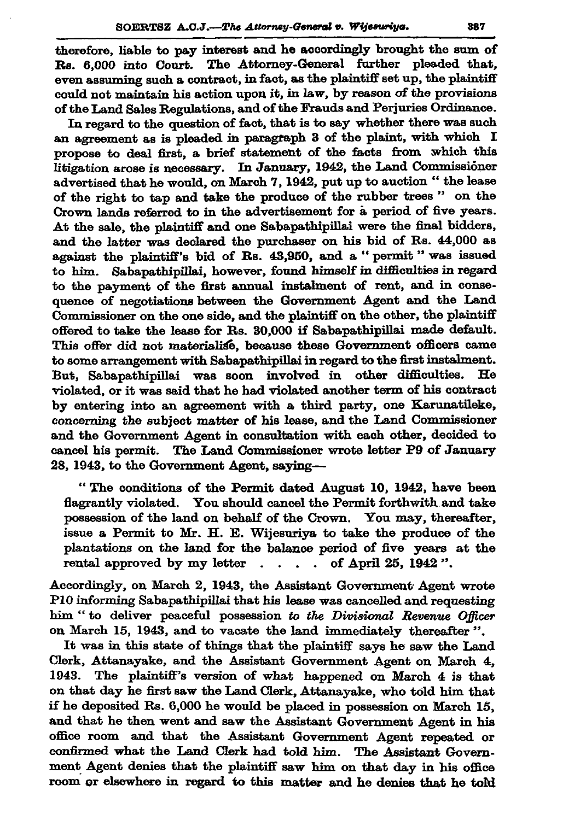therefore, liable to pay interest and he accordingly brought the sum of Rs. 6,000 into Court. The Attorney-General further pleaded that. even assuming such a contract, in fact, as the plaintiff set up, the plaintiff could not maintain his action upon it, in law, by reason of the provisions of the Land Sales Regulations, and of the Frauds and Perjuries Ordinance.

In regard to the question of fact, that is to say whether there was such an agreement as is pleaded in paragraph 3 of the plaint, with which I propose to deal first, a brief statement of the facts from which this litigation arose is necessary. In January, 1942, the Land Commissioner advertised that he would, on March 7, 1942, put up to auction " the lease of the right to tap and take the produce of the rubber trees" on the Crown lands referred to in the advertisement for a period of five years. At the sale, the plaintiff and one Sabapathipillai were the final bidders, and the latter was declared the purchaser on his bid of Rs. 44,000 as against the plaintiff's bid of Rs. 43,950, and a "permit" was issued to him. Sabapathipillai, however, found himself in difficulties in regard to the payment of the first annual instalment of rent, and in consequence of negotiations between the Government Agent and the Land Commissioner on the one side, and the plaintiff on the other, the plaintiff offered to take the lease for Rs. 30,000 if Sabapathipillai made default. This offer did not materialise, because these Government officers came to some arrangement with Sabapathipillai in regard to the first instalment. But, Sabapathipillai was soon involved in other difficulties. violated, or it was said that he had violated another term of his contract by entering into an agreement with a third party, one Karunatileke, concerning the subject matter of his lease, and the Land Commissioner and the Government Agent in consultation with each other, decided to cancel his permit. The Land Commissioner wrote letter P9 of January 28. 1943, to the Government Agent, saying--

"The conditions of the Permit dated August 10, 1942, have been flagrantly violated. You should cancel the Permit forthwith and take possession of the land on behalf of the Crown. You may, thereafter, issue a Permit to Mr. H. E. Wijesuriya to take the produce of the plantations on the land for the balance period of five years at the rental approved by my letter . . . . of April 25, 1942".

Accordingly, on March 2, 1943, the Assistant Government Agent wrote P10 informing Sabapathipillai that his lease was cancelled and requesting him "to deliver peaceful possession to the Divisional Revenue Officer on March 15, 1943, and to vacate the land immediately thereafter".

It was in this state of things that the plaintiff says he saw the Land Clerk, Attanayake, and the Assistant Government Agent on March 4, 1943. The plaintiff's version of what happened on March 4 is that on that day he first saw the Land Clerk, Attanayake, who told him that if he deposited Rs. 6,000 he would be placed in possession on March 15, and that he then went and saw the Assistant Government Agent in his office room and that the Assistant Government Agent repeated or confirmed what the Land Clerk had told him. The Assistant Government Agent denies that the plaintiff saw him on that day in his office room or elsewhere in regard to this matter and he denies that he told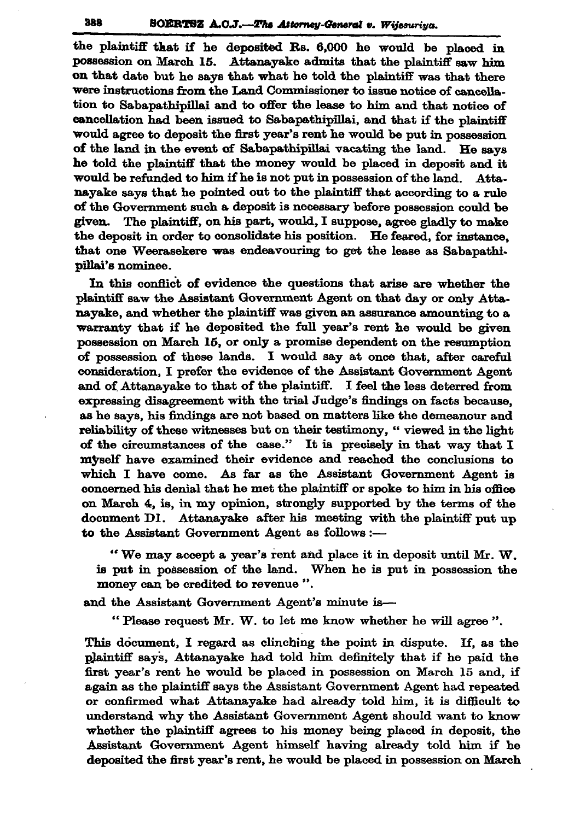the plaintiff that if he deposited Rs. 6,000 he would be placed in possession on March 15. Attanayake admits that the plaintiff saw him on that date but he says that what he told the plaintiff was that there were instructions from the Land Commissioner to issue notice of cancellation to Sabapathipillai and to offer the lease to him and that notice of cancellation had been issued to Sabapathipillai, and that if the plaintiff would agree to deposit the first year's rent he would be put in possession of the land in the event of Sabapathipillai vacating the land. He savs he told the plaintiff that the money would be placed in deposit and it would be refunded to him if he is not put in possession of the land. Attanayake says that he pointed out to the plaintiff that according to a rule of the Government such a deposit is necessary before possession could be given. The plaintiff, on his part, would, I suppose, agree gladly to make the deposit in order to consolidate his position. He feared, for instance, that one Weerasekere was endeavouring to get the lease as Sabapathipillai's nominee.

In this conflict of evidence the questions that arise are whether the plaintiff saw the Assistant Government Agent on that day or only Attanayake, and whether the plaintiff was given an assurance amounting to a warranty that if he deposited the full year's rent he would be given possession on March 15, or only a promise dependent on the resumption of possession of these lands. I would say at once that, after careful consideration, I prefer the evidence of the Assistant Government Agent and of Attanavake to that of the plaintiff. I feel the less deterred from expressing disagreement with the trial Judge's findings on facts because. as he savs, his findings are not based on matters like the demeanour and reliability of these witnesses but on their testimony, "viewed in the light of the circumstances of the case." It is precisely in that way that I myself have examined their evidence and reached the conclusions to which I have come. As far as the Assistant Government Agent is concerned his denial that he met the plaintiff or spoke to him in his office on March 4, is, in my opinion, strongly supported by the terms of the document D1. Attanayake after his meeting with the plaintiff put up to the Assistant Government Agent as follows :-

"We may accept a year's rent and place it in deposit until Mr. W. is put in possession of the land. When he is put in possession the money can be credited to revenue".

and the Assistant Government Agent's minute is-

"Please request Mr. W. to let me know whether he will agree".

This document, I regard as clinching the point in dispute. If, as the plaintiff says, Attanayake had told him definitely that if he paid the first year's rent he would be placed in possession on March 15 and, if again as the plaintiff says the Assistant Government Agent had repeated or confirmed what Attanayake had already told him, it is difficult to understand why the Assistant Government Agent should want to know whether the plaintiff agrees to his money being placed in deposit, the Assistant Government Agent himself having already told him if he deposited the first year's rent, he would be placed in possession on March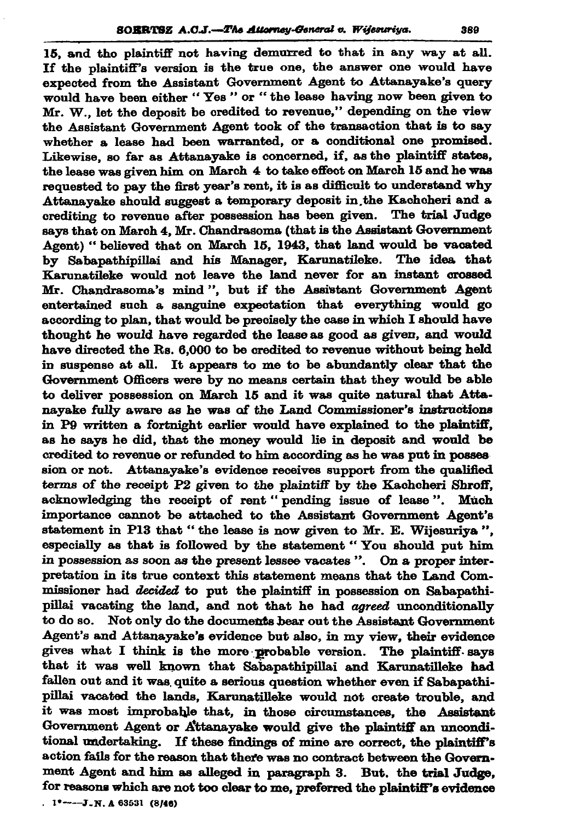15, and the plaintiff not having demurred to that in any way at all. If the plaintiff's version is the true one, the answer one would have expected from the Assistant Government Agent to Attanayake's query would have been either "Yes" or "the lease having now been given to Mr. W., let the deposit be oredited to revenue," depending on the view the Assistant Government Agent took of the transaction that is to sav whether a lease had been warranted, or a conditional one promised. Likewise, so far as Attanayake is concerned, if, as the plaintiff states, the lease was given him on March 4 to take effect on March 15 and he was requested to pay the first year's rent, it is as difficult to understand why Attanavake should suggest a temporary deposit in the Kachcheri and a crediting to revenue after possession has been given. The trial Judge says that on March 4, Mr. Chandrasoma (that is the Assistant Government Agent) "believed that on March 15, 1943, that land would be vacated by Sabapathipillai and his Manager, Karunatileke. The idea that Karunatileke would not leave the land never for an instant crossed Mr. Chandrasoma's mind", but if the Assistant Government Agent entertained such a sanguine expectation that everything would go according to plan, that would be precisely the case in which I should have thought he would have regarded the lease as good as given, and would have directed the Rs. 6,000 to be credited to revenue without being held in suspense at all. It appears to me to be abundantly clear that the Government Officers were by no means certain that they would be able to deliver possession on March 15 and it was quite natural that Attanayake fully aware as he was of the Land Commissioner's instructions in P9 written a fortnight earlier would have explained to the plaintiff. as he says he did, that the money would lie in deposit and would be credited to revenue or refunded to him according as he was put in posses sion or not. Attanayake's evidence receives support from the qualified terms of the receipt P2 given to the plaintiff by the Kachcheri Shroff, acknowledging the receipt of rent "pending issue of lease". Much importance cannot be attached to the Assistant Government Agent's statement in P13 that "the lease is now given to Mr. E. Wijesuriya", especially as that is followed by the statement "You should put him in possession as soon as the present lessee vacates". On a proper interpretation in its true context this statement means that the Land Commissioner had *decided* to put the plaintiff in possession on Sabapathipillai vacating the land, and not that he had *agreed* unconditionally to do so. Not only do the documents bear out the Assistant Government Agent's and Attanayake's evidence but also, in my view, their evidence gives what I think is the more probable version. The plaintiff says that it was well known that Sabapathipillai and Karunatilleke had fallen out and it was quite a serious question whether even if Sabapathipillai vacated the lands, Karunatilleke would not create trouble, and it was most improbable that, in those circumstances, the Assistant Government Agent or Attanayake would give the plaintiff an unconditional undertaking. If these findings of mine are correct, the plaintiff's action fails for the reason that there was no contract between the Government Agent and him as alleged in paragraph 3. But, the trial Judge, for reasons which are not too clear to me, preferred the plaintiff's evidence  $1^*$  ----J.N.A 63531 (8/46)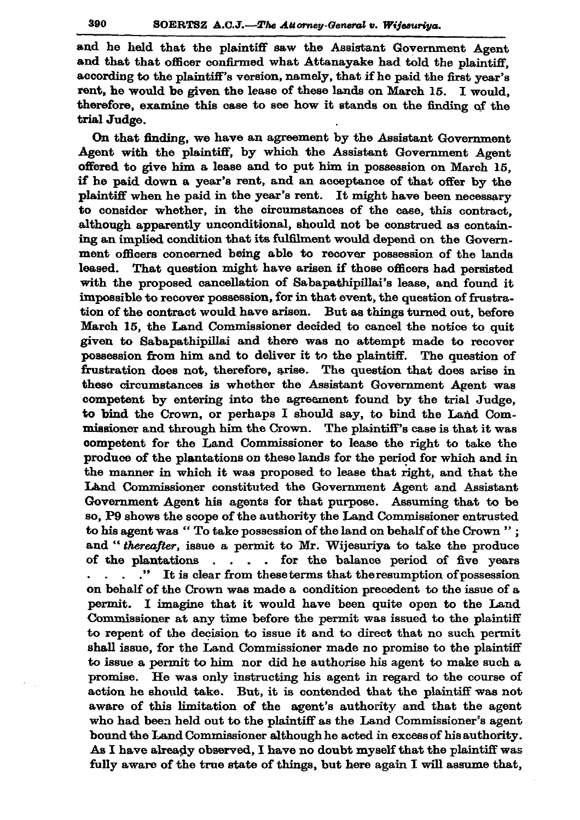and he held that the plaintiff saw the Assistant Government Agent and that that officer confirmed what Attanayake had told the plaintiff. according to the plaintiff's version, namely, that if he paid the first year's rent, he would be given the lease of these lands on March 15. I would. therefore, examine this case to see how it stands on the finding of the trial Judge.

On that finding, we have an agreement by the Assistant Government Agent with the plaintiff, by which the Assistant Government Agent offered to give him a lease and to put him in possession on March 15. if he paid down a year's rent, and an acceptance of that offer by the plaintiff when he paid in the year's rent. It might have been necessary to consider whether, in the circumstances of the case, this contract. although apparently unconditional, should not be construed as containing an implied condition that its fulfilment would depend on the Government officers concerned being able to recover possession of the lands That question might have arisen if those officers had persisted leased. with the proposed cancellation of Sabapathipillai's lease, and found it impossible to recover possession, for in that event, the question of frustration of the contract would have arisen. But as things turned out, before March 15, the Land Commissioner decided to cancel the notice to quit given to Sabapathipillai and there was no attempt made to recover possession from him and to deliver it to the plaintiff. The question of frustration does not, therefore, arise. The question that does arise in these circumstances is whether the Assistant Government Agent was competent by entering into the agreement found by the trial Judge. to bind the Crown, or perhaps I should say, to bind the Land Commissioner and through him the Crown. The plaintiff's case is that it was competent for the Land Commissioner to lease the right to take the produce of the plantations on these lands for the period for which and in the manner in which it was proposed to lease that right, and that the Land Commissioner constituted the Government Agent and Assistant Government Agent his agents for that purpose. Assuming that to be so, P9 shows the scope of the authority the Land Commissioner entrusted to his agent was "To take possession of the land on behalf of the Crown"; and "thereafter, issue a permit to Mr. Wijesuriya to take the produce of the plantations . . . . for the balance period of five years . . . . "It is clear from these terms that the resumption of possession on behalf of the Crown was made a condition precedent to the issue of a permit. I imagine that it would have been quite open to the Land Commissioner at any time before the permit was issued to the plaintiff to repent of the decision to issue it and to direct that no such permit shall issue, for the Land Commissioner made no promise to the plaintiff to issue a permit to him nor did he authorise his agent to make such a promise. He was only instructing his agent in regard to the course of action he should take. But, it is contended that the plaintiff was not aware of this limitation of the agent's authority and that the agent who had been held out to the plaintiff as the Land Commissioner's agent bound the Land Commissioner although he acted in excess of his authority. As I have already observed, I have no doubt myself that the plaintiff was fully aware of the true state of things, but here again I will assume that,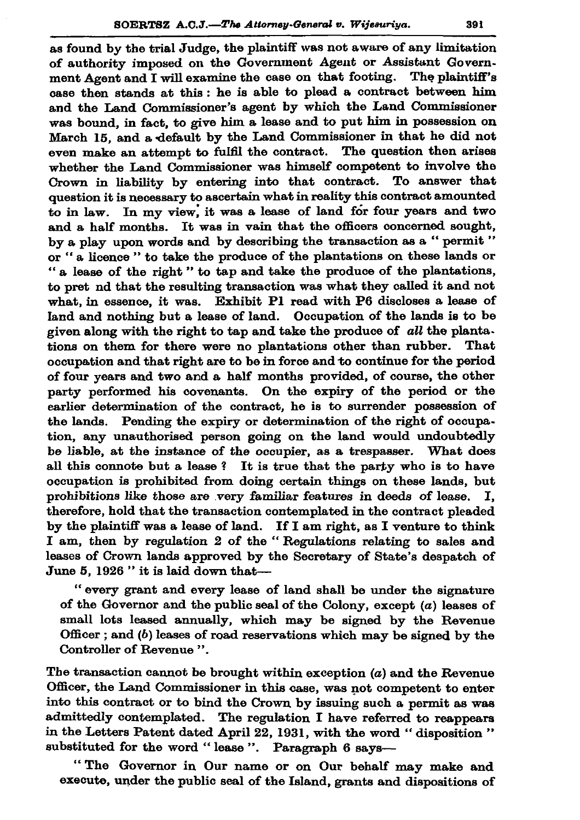as found by the trial Judge, the plaintiff was not aware of any limitation of authority imposed on the Government Agent or Assistant Government Agent and I will examine the case on that footing. The plaintiff's case then stands at this: he is able to plead a contract between him and the Land Commissioner's agent by which the Land Commissioner was bound, in fact, to give him a lease and to put him in possession on March 15, and a default by the Land Commissioner in that he did not even make an attempt to fulfil the contract. The question then arises whether the Land Commissioner was himself competent to involve the Crown in liability by entering into that contract. To answer that question it is necessary to ascertain what in reality this contract amounted to in law. In my view, it was a lease of land for four years and two and a half months. It was in vain that the officers concerned sought, by a play upon words and by describing the transaction as a "permit" or "a licence" to take the produce of the plantations on these lands or "a lease of the right" to tap and take the produce of the plantations. to pret nd that the resulting transaction was what they called it and not what, in essence, it was. Exhibit P1 read with P6 discloses a lease of land and nothing but a lease of land. Occupation of the lands is to be given along with the right to tap and take the produce of all the planta. tions on them for there were no plantations other than rubber. That occupation and that right are to be in force and to continue for the period of four years and two and a half months provided, of course, the other party performed his covenants. On the expiry of the period or the earlier determination of the contract, he is to surrender possession of the lands. Pending the expiry or determination of the right of occupation, any unauthorised person going on the land would undoubtedly be liable, at the instance of the occupier, as a trespasser. What does all this connote but a lease? It is true that the party who is to have occupation is prohibited from doing certain things on these lands, but prohibitions like those are very familiar features in deeds of lease. Ï. therefore, hold that the transaction contemplated in the contract pleaded by the plaintiff was a lease of land. If I am right, as I venture to think I am, then by regulation 2 of the "Regulations relating to sales and leases of Crown lands approved by the Secretary of State's despatch of June 5, 1926 " it is laid down that-

"every grant and every lease of land shall be under the signature of the Governor and the public seal of the Colony, except  $(a)$  leases of small lots leased annually, which may be signed by the Revenue Officer; and  $(b)$  leases of road reservations which may be signed by the Controller of Revenue".

The transaction cannot be brought within exception  $(a)$  and the Revenue Officer, the Land Commissioner in this case, was not competent to enter into this contract or to bind the Crown by issuing such a permit as was admittedly contemplated. The regulation I have referred to reappears in the Letters Patent dated April 22, 1931, with the word "disposition" substituted for the word "lease". Paragraph 6 says-

"The Governor in Our name or on Our behalf may make and execute, under the public seal of the Island, grants and dispositions of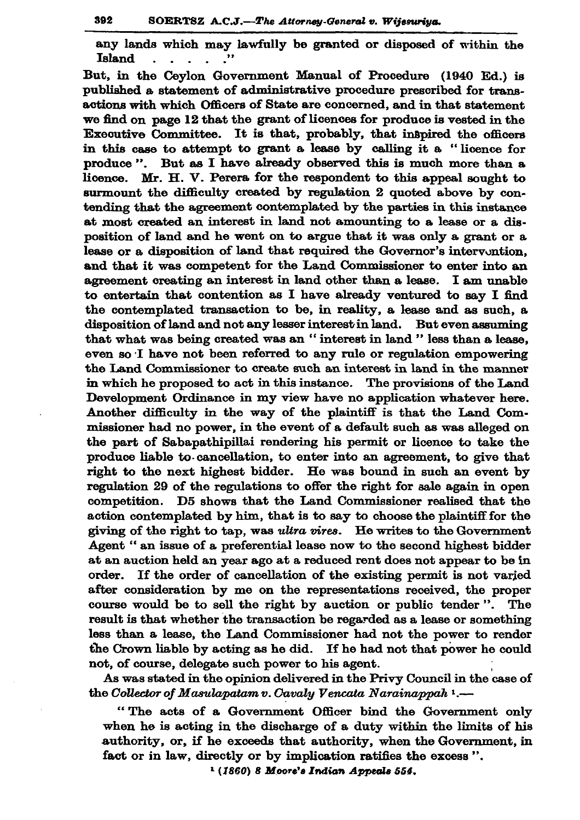any lands which may lawfully be granted or disposed of within the Island  $\mathbf{L}^{\text{max}}$ **Contract Contract** 

But, in the Cevlon Government Manual of Procedure (1940 Ed.) is published a statement of administrative procedure prescribed for transactions with which Officers of State are concerned, and in that statement we find on page 12 that the grant of licences for produce is vested in the Executive Committee. It is that, probably, that inspired the officers in this case to attempt to grant a lease by calling it a "licence for produce". But as I have already observed this is much more than a licence. Mr. H. V. Perera for the respondent to this appeal sought to surmount the difficulty created by regulation 2 quoted above by contending that the agreement contemplated by the parties in this instance at most created an interest in land not amounting to a lease or a disposition of land and he went on to argue that it was only a grant or a lease or a disposition of land that required the Governor's intervantion. and that it was competent for the Land Commissioner to enter into an agreement creating an interest in land other than a lease. I am unable to entertain that contention as I have already ventured to say I find the contemplated transaction to be, in reality, a lease and as such, a disposition of land and not any lesser interest in land. But even assuming that what was being created was an "interest in land " less than a lease, even so I have not been referred to any rule or regulation empowering the Land Commissioner to create such an interest in land in the manner in which he proposed to act in this instance. The provisions of the Land Development Ordinance in my view have no application whatever here. Another difficulty in the way of the plaintiff is that the Land Commissioner had no power, in the event of a default such as was alleged on the part of Sabapathipillai rendering his permit or licence to take the produce liable to cancellation, to enter into an agreement, to give that right to the next highest bidder. He was bound in such an event by regulation 29 of the regulations to offer the right for sale again in open competition. D5 shows that the Land Commissioner realised that the action contemplated by him, that is to say to choose the plaintiff for the giving of the right to tap, was ultra vires. He writes to the Government Agent " an issue of a preferential lease now to the second highest bidder at an auction held an year ago at a reduced rent does not appear to be in order. If the order of cancellation of the existing permit is not varied after consideration by me on the representations received, the proper course would be to sell the right by auction or public tender". The result is that whether the transaction be regarded as a lease or something less than a lease, the Land Commissioner had not the power to render the Crown liable by acting as he did. If he had not that power he could not, of course, delegate such power to his agent.

As was stated in the opinion delivered in the Privy Council in the case of the Collector of Masulapatam v. Cavaly Vencata Narainappah 1.-

"The acts of a Government Officer bind the Government only when he is acting in the discharge of a duty within the limits of his authority, or, if he exceeds that authority, when the Government, in fact or in law, directly or by implication ratifies the excess".

 $(1860)$  8 Moore's Indian Appeals 554.